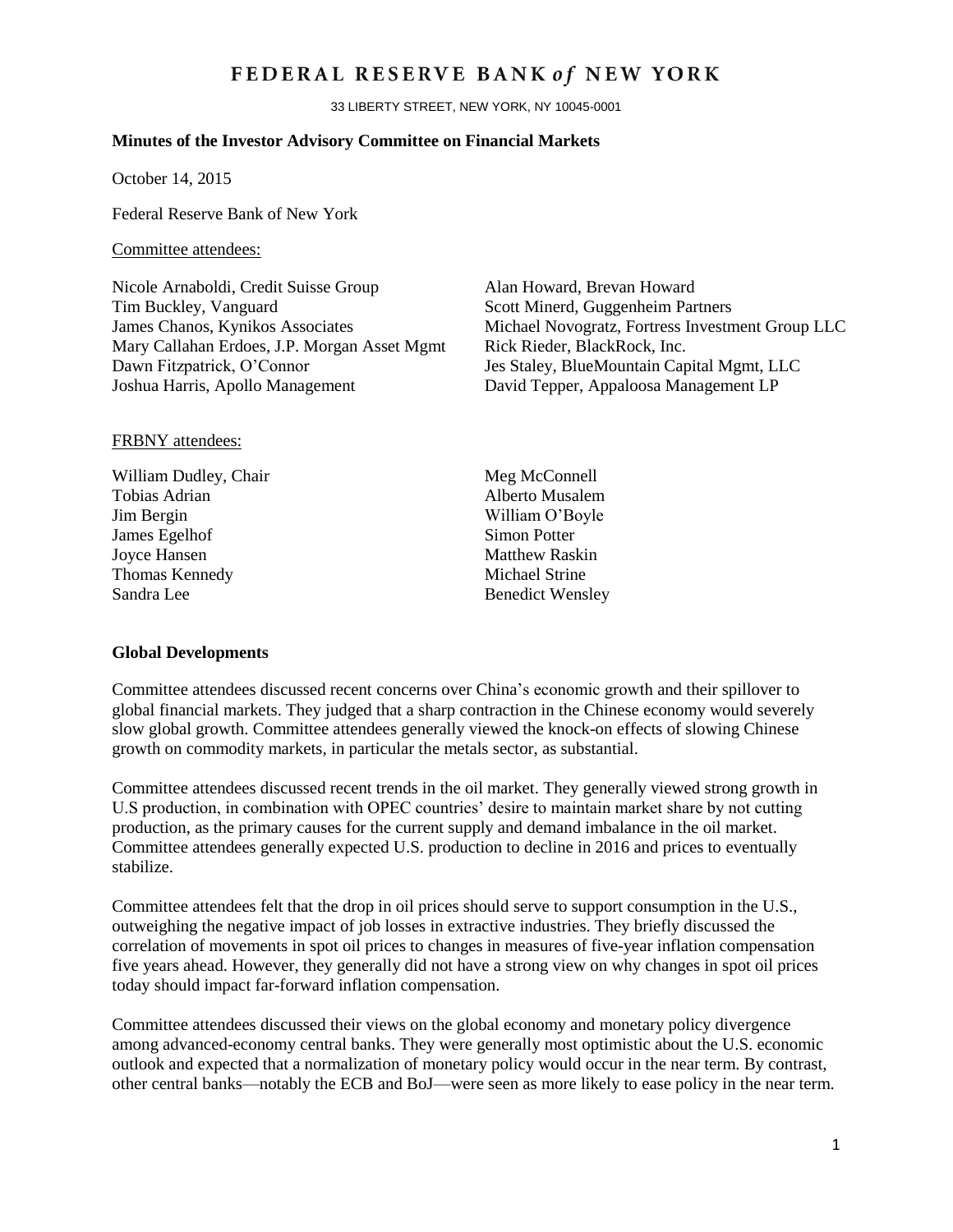# FEDERAL RESERVE BANK of NEW YORK

33 LIBERTY STREET, NEW YORK, NY 10045-0001

#### **Minutes of the Investor Advisory Committee on Financial Markets**

October 14, 2015

Federal Reserve Bank of New York

#### Committee attendees:

Nicole Arnaboldi, Credit Suisse Group Alan Howard, Brevan Howard Tim Buckley, Vanguard Scott Minerd, Guggenheim Partners Mary Callahan Erdoes, J.P. Morgan Asset Mgmt Rick Rieder, BlackRock, Inc. Dawn Fitzpatrick, O'Connor Jes Staley, BlueMountain Capital Mgmt, LLC Joshua Harris, Apollo Management David Tepper, Appaloosa Management LP

James Chanos, Kynikos Associates Michael Novogratz, Fortress Investment Group LLC

#### FRBNY attendees:

William Dudley, Chair Meg McConnell Tobias Adrian **Alberto Musalem** Jim Bergin William O'Boyle **James Egelhof** Simon Potter Joyce Hansen Matthew Raskin Thomas Kennedy Michael Strine Sandra Lee Benedict Wensley

#### **Global Developments**

Committee attendees discussed recent concerns over China's economic growth and their spillover to global financial markets. They judged that a sharp contraction in the Chinese economy would severely slow global growth. Committee attendees generally viewed the knock-on effects of slowing Chinese growth on commodity markets, in particular the metals sector, as substantial.

Committee attendees discussed recent trends in the oil market. They generally viewed strong growth in U.S production, in combination with OPEC countries' desire to maintain market share by not cutting production, as the primary causes for the current supply and demand imbalance in the oil market. Committee attendees generally expected U.S. production to decline in 2016 and prices to eventually stabilize.

Committee attendees felt that the drop in oil prices should serve to support consumption in the U.S., outweighing the negative impact of job losses in extractive industries. They briefly discussed the correlation of movements in spot oil prices to changes in measures of five-year inflation compensation five years ahead. However, they generally did not have a strong view on why changes in spot oil prices today should impact far-forward inflation compensation.

Committee attendees discussed their views on the global economy and monetary policy divergence among advanced-economy central banks. They were generally most optimistic about the U.S. economic outlook and expected that a normalization of monetary policy would occur in the near term. By contrast, other central banks—notably the ECB and BoJ—were seen as more likely to ease policy in the near term.